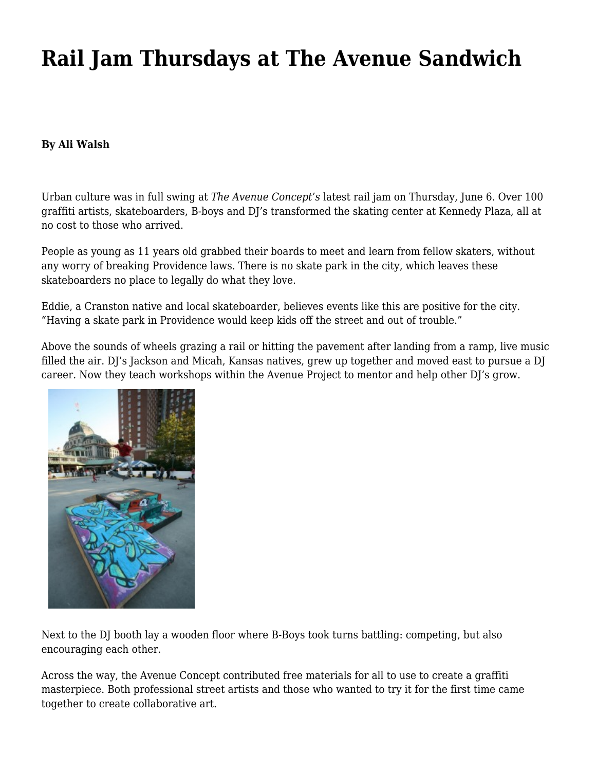## **[Rail Jam Thursdays at The Avenue Sandwich](https://motifri.com/rail-jam-thursdays-at-the-avenue-sandwich/)**

## **By Ali Walsh**

Urban culture was in full swing at *The Avenue Concept's* latest rail jam on Thursday, June 6. Over 100 graffiti artists, skateboarders, B-boys and DJ's transformed the skating center at Kennedy Plaza, all at no cost to those who arrived.

People as young as 11 years old grabbed their boards to meet and learn from fellow skaters, without any worry of breaking Providence laws. There is no skate park in the city, which leaves these skateboarders no place to legally do what they love.

Eddie, a Cranston native and local skateboarder, believes events like this are positive for the city. "Having a skate park in Providence would keep kids off the street and out of trouble."

Above the sounds of wheels grazing a rail or hitting the pavement after landing from a ramp, live music filled the air. DJ's Jackson and Micah, Kansas natives, grew up together and moved east to pursue a DJ career. Now they teach workshops within the Avenue Project to mentor and help other DJ's grow.



Next to the DJ booth lay a wooden floor where B-Boys took turns battling: competing, but also encouraging each other.

Across the way, the Avenue Concept contributed free materials for all to use to create a graffiti masterpiece. Both professional street artists and those who wanted to try it for the first time came together to create collaborative art.